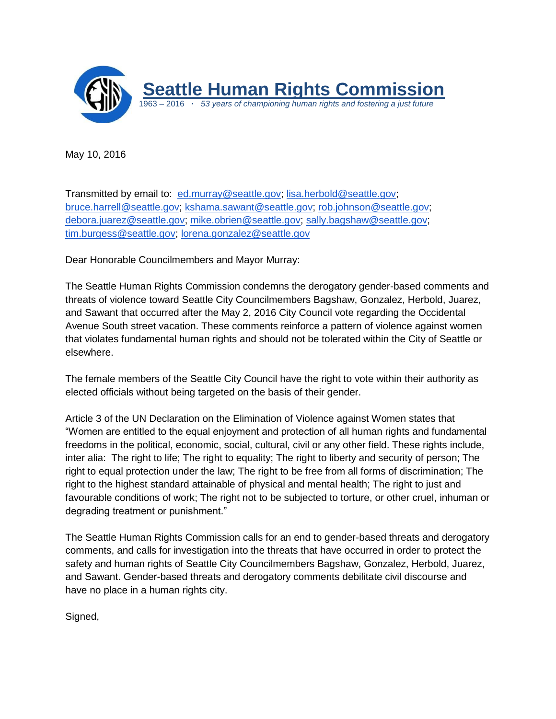

May 10, 2016

Transmitted by email to: [ed.murray@seattle.gov;](mailto:ed.murray@seattle.gov) [lisa.herbold@seattle.gov;](mailto:lisa.herbold@seattle.gov) [bruce.harrell@seattle.gov;](mailto:bruce.harrell@seattle.gov) [kshama.sawant@seattle.gov;](mailto:kshama.sawant@seattle.gov) [rob.johnson@seattle.gov;](mailto:rob.johnson@seattle.gov) [debora.juarez@seattle.gov;](mailto:debora.juarez@seattle.gov) [mike.obrien@seattle.gov;](mailto:mike.obrien@seattle.gov) [sally.bagshaw@seattle.gov;](mailto:sally.bagshaw@seattle.gov) [tim.burgess@seattle.gov;](mailto:tim.burgess@seattle.gov) [lorena.gonzalez@seattle.gov](mailto:lorena.gonzalez@seattle.gov)

Dear Honorable Councilmembers and Mayor Murray:

The Seattle Human Rights Commission condemns the derogatory gender-based comments and threats of violence toward Seattle City Councilmembers Bagshaw, Gonzalez, Herbold, Juarez, and Sawant that occurred after the May 2, 2016 City Council vote regarding the Occidental Avenue South street vacation. These comments reinforce a pattern of violence against women that violates fundamental human rights and should not be tolerated within the City of Seattle or elsewhere.

The female members of the Seattle City Council have the right to vote within their authority as elected officials without being targeted on the basis of their gender.

Article 3 of the UN Declaration on the Elimination of Violence against Women states that "Women are entitled to the equal enjoyment and protection of all human rights and fundamental freedoms in the political, economic, social, cultural, civil or any other field. These rights include, inter alia: The right to life; The right to equality; The right to liberty and security of person; The right to equal protection under the law; The right to be free from all forms of discrimination; The right to the highest standard attainable of physical and mental health; The right to just and favourable conditions of work; The right not to be subjected to torture, or other cruel, inhuman or degrading treatment or punishment."

The Seattle Human Rights Commission calls for an end to gender-based threats and derogatory comments, and calls for investigation into the threats that have occurred in order to protect the safety and human rights of Seattle City Councilmembers Bagshaw, Gonzalez, Herbold, Juarez, and Sawant. Gender-based threats and derogatory comments debilitate civil discourse and have no place in a human rights city.

Signed,